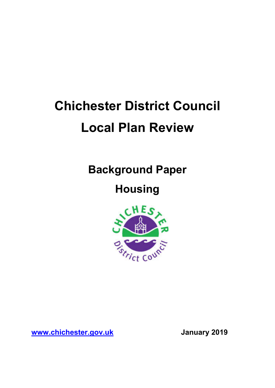# **Chichester District Council Local Plan Review**

**Background Paper** 

# **Housing**



**www.chichester.gov.uk January 2019**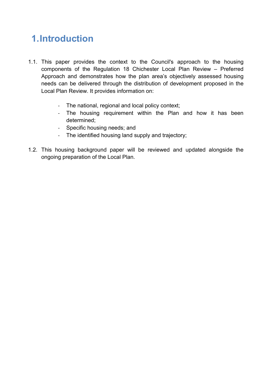# **1.Introduction**

- 1.1. This paper provides the context to the Council's approach to the housing components of the Regulation 18 Chichester Local Plan Review – Preferred Approach and demonstrates how the plan area's objectively assessed housing needs can be delivered through the distribution of development proposed in the Local Plan Review. It provides information on:
	- The national, regional and local policy context;
	- The housing requirement within the Plan and how it has been determined;
	- Specific housing needs; and
	- The identified housing land supply and trajectory;
- 1.2. This housing background paper will be reviewed and updated alongside the ongoing preparation of the Local Plan.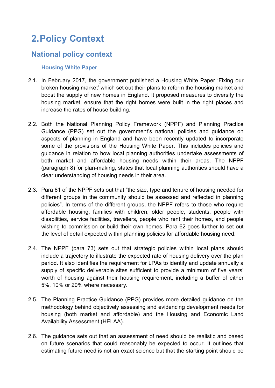# **2.Policy Context**

## **National policy context**

### **Housing White Paper**

- 2.1. In February 2017, the government published a Housing White Paper 'Fixing our broken housing market' which set out their plans to reform the housing market and boost the supply of new homes in England. It proposed measures to diversify the housing market, ensure that the right homes were built in the right places and increase the rates of house building.
- 2.2. Both the National Planning Policy Framework (NPPF) and Planning Practice Guidance (PPG) set out the government's national policies and guidance on aspects of planning in England and have been recently updated to incorporate some of the provisions of the Housing White Paper. This includes policies and guidance in relation to how local planning authorities undertake assessments of both market and affordable housing needs within their areas. The NPPF (paragraph 8) for plan-making, states that local planning authorities should have a clear understanding of housing needs in their area.
- 2.3. Para 61 of the NPPF sets out that "the size, type and tenure of housing needed for different groups in the community should be assessed and reflected in planning policies". In terms of the different groups, the NPPF refers to those who require affordable housing, families with children, older people, students, people with disabilities, service facilities, travellers, people who rent their homes, and people wishing to commission or build their own homes. Para 62 goes further to set out the level of detail expected within planning policies for affordable housing need.
- 2.4. The NPPF (para 73) sets out that strategic policies within local plans should include a trajectory to illustrate the expected rate of housing delivery over the plan period. It also identifies the requirement for LPAs to identify and update annually a supply of specific deliverable sites sufficient to provide a minimum of five years' worth of housing against their housing requirement, including a buffer of either 5%, 10% or 20% where necessary.
- 2.5. The Planning Practice Guidance (PPG) provides more detailed guidance on the methodology behind objectively assessing and evidencing development needs for housing (both market and affordable) and the Housing and Economic Land Availability Assessment (HELAA).
- 2.6. The guidance sets out that an assessment of need should be realistic and based on future scenarios that could reasonably be expected to occur. It outlines that estimating future need is not an exact science but that the starting point should be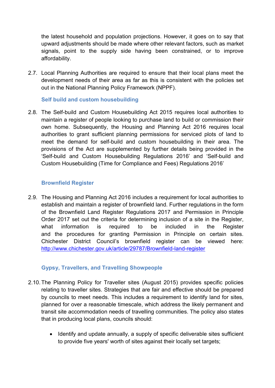the latest household and population projections. However, it goes on to say that upward adjustments should be made where other relevant factors, such as market signals, point to the supply side having been constrained, or to improve affordability.

2.7. Local Planning Authorities are required to ensure that their local plans meet the development needs of their area as far as this is consistent with the policies set out in the National Planning Policy Framework (NPPF).

### **Self build and custom housebuilding**

2.8. The Self-build and Custom Housebuilding Act 2015 requires local authorities to maintain a register of people looking to purchase land to build or commission their own home. Subsequently, the Housing and Planning Act 2016 requires local authorities to grant sufficient planning permissions for serviced plots of land to meet the demand for self-build and custom housebuilding in their area. The provisions of the Act are supplemented by further details being provided in the 'Self-build and Custom Housebuilding Regulations 2016' and 'Self-build and Custom Housebuilding (Time for Compliance and Fees) Regulations 2016'

### **Brownfield Register**

2.9. The Housing and Planning Act 2016 includes a requirement for local authorities to establish and maintain a register of brownfield land. Further regulations in the form of the Brownfield Land Register Regulations 2017 and Permission in Principle Order 2017 set out the criteria for determining inclusion of a site in the Register, what information is required to be included in the Register and the procedures for granting Permission in Principle on certain sites. Chichester District Council's brownfield register can be viewed here: http://www.chichester.gov.uk/article/29787/Brownfield-land-register

### **Gypsy, Travellers, and Travelling Showpeople**

- 2.10.The Planning Policy for Traveller sites (August 2015) provides specific policies relating to traveller sites. Strategies that are fair and effective should be prepared by councils to meet needs. This includes a requirement to identify land for sites, planned for over a reasonable timescale, which address the likely permanent and transit site accommodation needs of travelling communities. The policy also states that in producing local plans, councils should:
	- Identify and update annually, a supply of specific deliverable sites sufficient to provide five years' worth of sites against their locally set targets;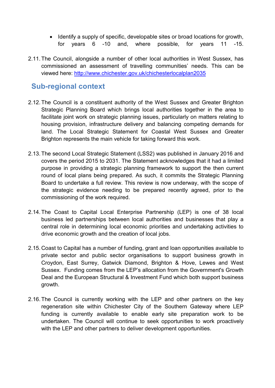- Identify a supply of specific, developable sites or broad locations for growth, for years 6 -10 and, where possible, for years 11 -15.
- 2.11.The Council, alongside a number of other local authorities in West Sussex, has commissioned an assessment of travelling communities' needs. This can be viewed here: http://www.chichester.gov.uk/chichesterlocalplan2035

## **Sub-regional context**

- 2.12.The Council is a constituent authority of the West Sussex and Greater Brighton Strategic Planning Board which brings local authorities together in the area to facilitate joint work on strategic planning issues, particularly on matters relating to housing provision, infrastructure delivery and balancing competing demands for land. The Local Strategic Statement for Coastal West Sussex and Greater Brighton represents the main vehicle for taking forward this work.
- 2.13.The second Local Strategic Statement (LSS2) was published in January 2016 and covers the period 2015 to 2031. The Statement acknowledges that it had a limited purpose in providing a strategic planning framework to support the then current round of local plans being prepared. As such, it commits the Strategic Planning Board to undertake a full review. This review is now underway, with the scope of the strategic evidence needing to be prepared recently agreed, prior to the commissioning of the work required.
- 2.14.The Coast to Capital Local Enterprise Partnership (LEP) is one of 38 local business led partnerships between local authorities and businesses that play a central role in determining local economic priorities and undertaking activities to drive economic growth and the creation of local jobs.
- 2.15.Coast to Capital has a number of funding, grant and loan opportunities available to private sector and public sector organisations to support business growth in Croydon, East Surrey, Gatwick Diamond, Brighton & Hove, Lewes and West Sussex. Funding comes from the LEP's allocation from the Government's Growth Deal and the European Structural & Investment Fund which both support business growth.
- 2.16.The Council is currently working with the LEP and other partners on the key regeneration site within Chichester City of the Southern Gateway where LEP funding is currently available to enable early site preparation work to be undertaken. The Council will continue to seek opportunities to work proactively with the LEP and other partners to deliver development opportunities.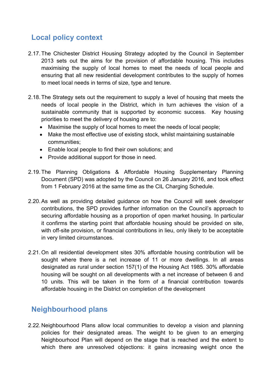# **Local policy context**

- 2.17.The Chichester District Housing Strategy adopted by the Council in September 2013 sets out the aims for the provision of affordable housing. This includes maximising the supply of local homes to meet the needs of local people and ensuring that all new residential development contributes to the supply of homes to meet local needs in terms of size, type and tenure.
- 2.18.The Strategy sets out the requirement to supply a level of housing that meets the needs of local people in the District, which in turn achieves the vision of a sustainable community that is supported by economic success. Key housing priorities to meet the delivery of housing are to:
	- Maximise the supply of local homes to meet the needs of local people;
	- Make the most effective use of existing stock, whilst maintaining sustainable communities;
	- Enable local people to find their own solutions; and
	- Provide additional support for those in need.
- 2.19.The Planning Obligations & Affordable Housing Supplementary Planning Document (SPD) was adopted by the Council on 26 January 2016, and took effect from 1 February 2016 at the same time as the CIL Charging Schedule.
- 2.20.As well as providing detailed guidance on how the Council will seek developer contributions, the SPD provides further information on the Council's approach to securing affordable housing as a proportion of open market housing. In particular it confirms the starting point that affordable housing should be provided on site, with off-site provision, or financial contributions in lieu, only likely to be acceptable in very limited circumstances.
- 2.21.On all residential development sites 30% affordable housing contribution will be sought where there is a net increase of 11 or more dwellings. In all areas designated as rural under section 157(1) of the Housing Act 1985. 30% affordable housing will be sought on all developments with a net increase of between 6 and 10 units. This will be taken in the form of a financial contribution towards affordable housing in the District on completion of the development

### **Neighbourhood plans**

2.22.Neighbourhood Plans allow local communities to develop a vision and planning policies for their designated areas. The weight to be given to an emerging Neighbourhood Plan will depend on the stage that is reached and the extent to which there are unresolved objections: it gains increasing weight once the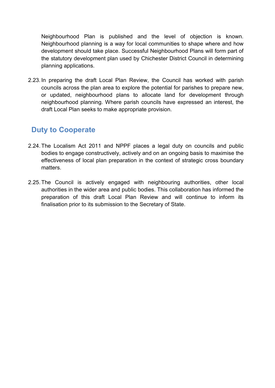Neighbourhood Plan is published and the level of objection is known. Neighbourhood planning is a way for local communities to shape where and how development should take place. Successful Neighbourhood Plans will form part of the statutory development plan used by Chichester District Council in determining planning applications.

2.23. In preparing the draft Local Plan Review, the Council has worked with parish councils across the plan area to explore the potential for parishes to prepare new, or updated, neighbourhood plans to allocate land for development through neighbourhood planning. Where parish councils have expressed an interest, the draft Local Plan seeks to make appropriate provision.

# **Duty to Cooperate**

- 2.24.The Localism Act 2011 and NPPF places a legal duty on councils and public bodies to engage constructively, actively and on an ongoing basis to maximise the effectiveness of local plan preparation in the context of strategic cross boundary matters.
- 2.25.The Council is actively engaged with neighbouring authorities, other local authorities in the wider area and public bodies. This collaboration has informed the preparation of this draft Local Plan Review and will continue to inform its finalisation prior to its submission to the Secretary of State.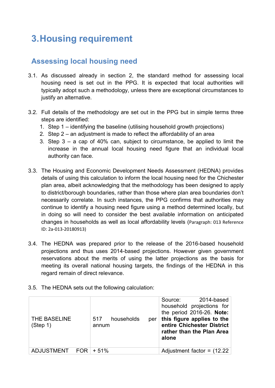# **3.Housing requirement**

# **Assessing local housing need**

- 3.1. As discussed already in section 2, the standard method for assessing local housing need is set out in the PPG. It is expected that local authorities will typically adopt such a methodology, unless there are exceptional circumstances to justify an alternative.
- 3.2. Full details of the methodology are set out in the PPG but in simple terms three steps are identified:
	- 1. Step 1 identifying the baseline (utilising household growth projections)
	- 2. Step 2 an adjustment is made to reflect the affordability of an area
	- 3. Step 3 a cap of 40% can, subject to circumstance, be applied to limit the increase in the annual local housing need figure that an individual local authority can face.
- 3.3. The Housing and Economic Development Needs Assessment (HEDNA) provides details of using this calculation to inform the local housing need for the Chichester plan area, albeit acknowledging that the methodology has been designed to apply to district/borough boundaries, rather than those where plan area boundaries don't necessarily correlate. In such instances, the PPG confirms that authorities may continue to identify a housing need figure using a method determined locally, but in doing so will need to consider the best available information on anticipated changes in households as well as local affordability levels (Paragraph: 013 Reference ID: 2a-013-20180913)
- 3.4. The HEDNA was prepared prior to the release of the 2016-based household projections and thus uses 2014-based projections. However given government reservations about the merits of using the latter projections as the basis for meeting its overall national housing targets, the findings of the HEDNA in this regard remain of direct relevance.
- 3.5. The HEDNA sets out the following calculation:

| <b>THE BASELINE</b><br>(Step 1) | households<br>517<br>per<br>annum | Source: 2014-based<br>household projections for<br>the period 2016-26. Note:<br>this figure applies to the<br>entire Chichester District<br>rather than the Plan Area<br>alone |
|---------------------------------|-----------------------------------|--------------------------------------------------------------------------------------------------------------------------------------------------------------------------------|
| ADJUSTMENT $FOR \mid +51\%$     |                                   | Adjustment factor = $(12.22)$                                                                                                                                                  |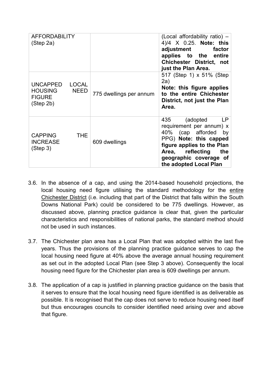| <b>AFFORDABILITY</b><br>(Step 2a)                 |                             |                         | (Local affordability ratio) -<br>4)/4 X 0.25. Note: this<br>adjustment<br>factor<br>applies to the entire<br><b>Chichester District, not</b><br>just the Plan Area.                                                     |
|---------------------------------------------------|-----------------------------|-------------------------|-------------------------------------------------------------------------------------------------------------------------------------------------------------------------------------------------------------------------|
| UNCAPPED<br>HOUSING<br><b>FIGURE</b><br>(Step 2b) | <b>LOCAL</b><br><b>NEED</b> | 775 dwellings per annum | 517 (Step 1) x 51% (Step<br>2a)<br>Note: this figure applies<br>to the entire Chichester<br>District, not just the Plan<br>Area.                                                                                        |
| <b>CAPPING</b><br><b>INCREASE</b><br>(Step 3)     | <b>THE</b>                  | 609 dwellings           | (adopted<br>435<br>LP.<br>requirement per annum) x<br>40% (cap afforded<br>by<br>PPG) Note: this capped<br>figure applies to the Plan<br>reflecting<br>the<br>Area,<br>geographic coverage of<br>the adopted Local Plan |

- 3.6. In the absence of a cap, and using the 2014-based household projections, the local housing need figure utilising the standard methodology for the entire Chichester District (i.e. including that part of the District that falls within the South Downs National Park) could be considered to be 775 dwellings. However, as discussed above, planning practice guidance is clear that, given the particular characteristics and responsibilities of national parks, the standard method should not be used in such instances.
- 3.7. The Chichester plan area has a Local Plan that was adopted within the last five years. Thus the provisions of the planning practice guidance serves to cap the local housing need figure at 40% above the average annual housing requirement as set out in the adopted Local Plan (see Step 3 above). Consequently the local housing need figure for the Chichester plan area is 609 dwellings per annum.
- 3.8. The application of a cap is justified in planning practice guidance on the basis that it serves to ensure that the local housing need figure identified is as deliverable as possible. It is recognised that the cap does not serve to reduce housing need itself but thus encourages councils to consider identified need arising over and above that figure.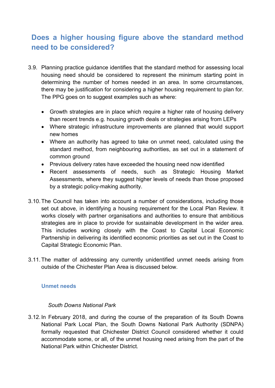# **Does a higher housing figure above the standard method need to be considered?**

- 3.9. Planning practice guidance identifies that the standard method for assessing local housing need should be considered to represent the minimum starting point in determining the number of homes needed in an area. In some circumstances, there may be justification for considering a higher housing requirement to plan for. The PPG goes on to suggest examples such as where:
	- Growth strategies are in place which require a higher rate of housing delivery than recent trends e.g. housing growth deals or strategies arising from LEPs
	- Where strategic infrastructure improvements are planned that would support new homes
	- Where an authority has agreed to take on unmet need, calculated using the standard method, from neighbouring authorities, as set out in a statement of common ground
	- Previous delivery rates have exceeded the housing need now identified
	- Recent assessments of needs, such as Strategic Housing Market Assessments, where they suggest higher levels of needs than those proposed by a strategic policy-making authority.
- 3.10.The Council has taken into account a number of considerations, including those set out above, in identifying a housing requirement for the Local Plan Review. It works closely with partner organisations and authorities to ensure that ambitious strategies are in place to provide for sustainable development in the wider area. This includes working closely with the Coast to Capital Local Economic Partnership in delivering its identified economic priorities as set out in the Coast to Capital Strategic Economic Plan.
- 3.11.The matter of addressing any currently unidentified unmet needs arising from outside of the Chichester Plan Area is discussed below.

### **Unmet needs**

### *South Downs National Park*

3.12. In February 2018, and during the course of the preparation of its South Downs National Park Local Plan, the South Downs National Park Authority (SDNPA) formally requested that Chichester District Council considered whether it could accommodate some, or all, of the unmet housing need arising from the part of the National Park within Chichester District.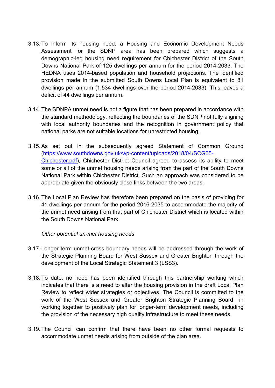- 3.13.To inform its housing need, a Housing and Economic Development Needs Assessment for the SDNP area has been prepared which suggests a demographic-led housing need requirement for Chichester District of the South Downs National Park of 125 dwellings per annum for the period 2014-2033. The HEDNA uses 2014-based population and household projections. The identified provision made in the submitted South Downs Local Plan is equivalent to 81 dwellings per annum (1,534 dwellings over the period 2014-2033). This leaves a deficit of 44 dwellings per annum.
- 3.14.The SDNPA unmet need is not a figure that has been prepared in accordance with the standard methodology, reflecting the boundaries of the SDNP not fully aligning with local authority boundaries and the recognition in government policy that national parks are not suitable locations for unrestricted housing.
- 3.15.As set out in the subsequently agreed Statement of Common Ground (https://www.southdowns.gov.uk/wp-content/uploads/2018/04/SCG05- Chichester.pdf)*,* Chichester District Council agreed to assess its ability to meet some or all of the unmet housing needs arising from the part of the South Downs National Park within Chichester District. Such an approach was considered to be appropriate given the obviously close links between the two areas.
- 3.16.The Local Plan Review has therefore been prepared on the basis of providing for 41 dwellings per annum for the period 2016-2035 to accommodate the majority of the unmet need arising from that part of Chichester District which is located within the South Downs National Park.

### *Other potential un-met housing needs*

- 3.17. Longer term unmet-cross boundary needs will be addressed through the work of the Strategic Planning Board for West Sussex and Greater Brighton through the development of the Local Strategic Statement 3 (LSS3).
- 3.18.To date, no need has been identified through this partnership working which indicates that there is a need to alter the housing provision in the draft Local Plan Review to reflect wider strategies or objectives. The Council is committed to the work of the West Sussex and Greater Brighton Strategic Planning Board in working together to positively plan for longer-term development needs, including the provision of the necessary high quality infrastructure to meet these needs.
- 3.19.The Council can confirm that there have been no other formal requests to accommodate unmet needs arising from outside of the plan area.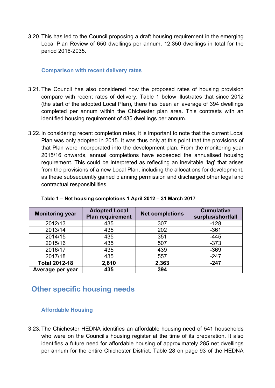3.20.This has led to the Council proposing a draft housing requirement in the emerging Local Plan Review of 650 dwellings per annum, 12,350 dwellings in total for the period 2016-2035.

### **Comparison with recent delivery rates**

- 3.21.The Council has also considered how the proposed rates of housing provision compare with recent rates of delivery. Table 1 below illustrates that since 2012 (the start of the adopted Local Plan), there has been an average of 394 dwellings completed per annum within the Chichester plan area. This contrasts with an identified housing requirement of 435 dwellings per annum.
- 3.22. In considering recent completion rates, it is important to note that the current Local Plan was only adopted in 2015. It was thus only at this point that the provisions of that Plan were incorporated into the development plan. From the monitoring year 2015/16 onwards, annual completions have exceeded the annualised housing requirement. This could be interpreted as reflecting an inevitable 'lag' that arises from the provisions of a new Local Plan, including the allocations for development, as these subsequently gained planning permission and discharged other legal and contractual responsibilities.

| <b>Monitoring year</b> | <b>Adopted Local</b><br><b>Plan requirement</b> | <b>Net completions</b> | <b>Cumulative</b><br>surplus/shortfall |
|------------------------|-------------------------------------------------|------------------------|----------------------------------------|
| 2012/13                | 435                                             | 307                    | $-128$                                 |
| 2013/14                | 435                                             | 202                    | $-361$                                 |
| 2014/15                | 435                                             | 351                    | $-445$                                 |
| 2015/16                | 435                                             | 507                    | $-373$                                 |
| 2016/17                | 435                                             | 439                    | $-369$                                 |
| 2017/18                | 435                                             | 557                    | $-247$                                 |
| <b>Total 2012-18</b>   | 2,610                                           | 2,363                  | $-247$                                 |
| Average per year       | 435                                             | 394                    |                                        |

**Table 1 – Net housing completions 1 April 2012 – 31 March 2017**

### **Other specific housing needs**

### **Affordable Housing**

3.23.The Chichester HEDNA identifies an affordable housing need of 541 households who were on the Council's housing register at the time of its preparation. It also identifies a future need for affordable housing of approximately 285 net dwellings per annum for the entire Chichester District. Table 28 on page 93 of the HEDNA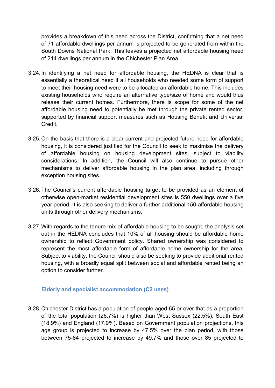provides a breakdown of this need across the District, confirming that a net need of 71 affordable dwellings per annum is projected to be generated from within the South Downs National Park. This leaves a projected net affordable housing need of 214 dwellings per annum in the Chichester Plan Area.

- 3.24. In identifying a net need for affordable housing, the HEDNA is clear that is essentially a theoretical need if all households who needed some form of support to meet their housing need were to be allocated an affordable home. This includes existing households who require an alternative type/size of home and would thus release their current homes. Furthermore, there is scope for some of the net affordable housing need to potentially be met through the private rented sector, supported by financial support measures such as Housing Benefit and Universal **Credit**
- 3.25.On the basis that there is a clear current and projected future need for affordable housing, it is considered justified for the Council to seek to maximise the delivery of affordable housing on housing development sites, subject to viability considerations. In addition, the Council will also continue to pursue other mechanisms to deliver affordable housing in the plan area, including through exception housing sites.
- 3.26.The Council's current affordable housing target to be provided as an element of otherwise open-market residential development sites is 550 dwellings over a five year period. It is also seeking to deliver a further additional 150 affordable housing units through other delivery mechanisms.
- 3.27.With regards to the tenure mix of affordable housing to be sought, the analysis set out in the HEDNA concludes that 10% of all housing should be affordable home ownership to reflect Government policy. Shared ownership was considered to represent the most affordable form of affordable home ownership for the area. Subject to viability, the Council should also be seeking to provide additional rented housing, with a broadly equal split between social and affordable rented being an option to consider further.

### **Elderly and specialist accommodation (C2 uses)**

3.28.Chichester District has a population of people aged 65 or over that as a proportion of the total population (26.7%) is higher than West Sussex (22.5%), South East (18.9%) and England (17.9%). Based on Government population projections, this age group is projected to increase by 47.5% over the plan period, with those between 75-84 projected to increase by 49.7% and those over 85 projected to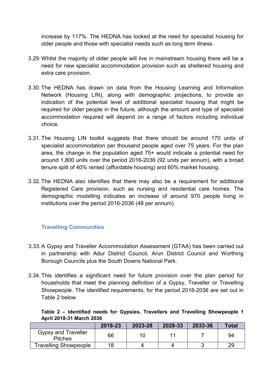increase by 117%. The HEDNA has looked at the need for specialist housing for older people and those with specialist needs such as long term illness.

- 3.29.Whilst the majority of older people will live in mainstream housing there will be a need for new specialist accommodation provision such as sheltered housing and extra care provision.
- 3.30.The HEDNA has drawn on data from the Housing Learning and Information Network (Housing LIN), along with demographic projections, to provide an indication of the potential level of additional specialist housing that might be required for older people in the future, although the amount and type of specialist accommodation required will depend on a range of factors including individual choice.
- 3.31.The Housing LIN toolkit suggests that there should be around 170 units of specialist accommodation per thousand people aged over 75 years. For the plan area, the change in the population aged 75+ would indicate a potential need for around 1,800 units over the period 2016-2036 (92 units per annum), with a broad tenure split of 40% rented (affordable housing) and 60% market housing.
- 3.32.The HEDNA also identifies that there may also be a requirement for additional Registered Care provision, such as nursing and residential care homes. The demographic modelling indicates an increase of around 970 people living in institutions over the period 2016-2036 (48 per annum).

### **Travelling Communities**

- 3.33.A Gypsy and Traveller Accommodation Assessment (GTAA) has been carried out in partnership with Adur District Council, Arun District Council and Worthing Borough Councils plus the South Downs National Park.
- 3.34.This identifies a significant need for future provision over the plan period for households that meet the planning definition of a Gypsy, Traveller or Travelling Showpeople. The identified requirements, for the period 2018-2036 are set out in Table 2 below.

|                                 |  |  |  | Table 2 – Identified needs for Gypsies, Travellers and Travelling Showpeople 1 |  |
|---------------------------------|--|--|--|--------------------------------------------------------------------------------|--|
| <b>April 2018-31 March 2036</b> |  |  |  |                                                                                |  |

|                                              | 2018-23 | 2023-28 | 2028-33 | 2033-36 | Total |
|----------------------------------------------|---------|---------|---------|---------|-------|
| <b>Gypsy and Traveller</b><br><b>Pitches</b> | 66      |         |         |         | 94    |
| <b>Travelling Showpeople</b>                 | 18      |         |         |         | 29    |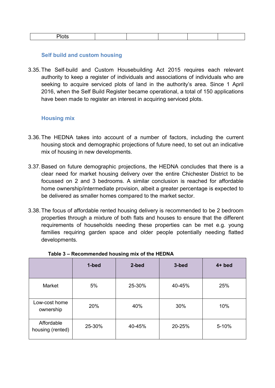|--|--|

### **Self build and custom housing**

3.35.The Self-build and Custom Housebuilding Act 2015 requires each relevant authority to keep a register of individuals and associations of individuals who are seeking to acquire serviced plots of land in the authority's area. Since 1 April 2016, when the Self Build Register became operational, a total of 150 applications have been made to register an interest in acquiring serviced plots.

### **Housing mix**

- 3.36.The HEDNA takes into account of a number of factors, including the current housing stock and demographic projections of future need, to set out an indicative mix of housing in new developments.
- 3.37.Based on future demographic projections, the HEDNA concludes that there is a clear need for market housing delivery over the entire Chichester District to be focussed on 2 and 3 bedrooms. A similar conclusion is reached for affordable home ownership/intermediate provision, albeit a greater percentage is expected to be delivered as smaller homes compared to the market sector.
- 3.38.The focus of affordable rented housing delivery is recommended to be 2 bedroom properties through a mixture of both flats and houses to ensure that the different requirements of households needing these properties can be met e.g. young families requiring garden space and older people potentially needing flatted developments.

|                                | 1-bed  | 2-bed  | 3-bed  | $4+$ bed |
|--------------------------------|--------|--------|--------|----------|
| Market                         | 5%     | 40-45% | 25%    |          |
| Low-cost home<br>ownership     | 20%    | 40%    | 30%    | 10%      |
| Affordable<br>housing (rented) | 25-30% | 40-45% | 20-25% | 5-10%    |

| Table 3 - Recommended housing mix of the HEDNA |  |  |
|------------------------------------------------|--|--|
|                                                |  |  |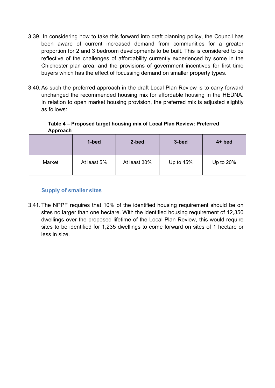- 3.39. In considering how to take this forward into draft planning policy, the Council has been aware of current increased demand from communities for a greater proportion for 2 and 3 bedroom developments to be built. This is considered to be reflective of the challenges of affordability currently experienced by some in the Chichester plan area, and the provisions of government incentives for first time buyers which has the effect of focussing demand on smaller property types.
- 3.40.As such the preferred approach in the draft Local Plan Review is to carry forward unchanged the recommended housing mix for affordable housing in the HEDNA. In relation to open market housing provision, the preferred mix is adjusted slightly as follows:

**Table 4 – Proposed target housing mix of Local Plan Review: Preferred Approach**

|        | 1-bed       | 2-bed        | 3-bed       | $4+$ bed    |
|--------|-------------|--------------|-------------|-------------|
| Market | At least 5% | At least 30% | Up to $45%$ | Up to $20%$ |

### **Supply of smaller sites**

3.41.The NPPF requires that 10% of the identified housing requirement should be on sites no larger than one hectare. With the identified housing requirement of 12,350 dwellings over the proposed lifetime of the Local Plan Review, this would require sites to be identified for 1,235 dwellings to come forward on sites of 1 hectare or less in size.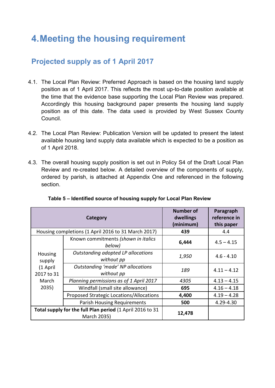# **4.Meeting the housing requirement**

## **Projected supply as of 1 April 2017**

- 4.1. The Local Plan Review: Preferred Approach is based on the housing land supply position as of 1 April 2017. This reflects the most up-to-date position available at the time that the evidence base supporting the Local Plan Review was prepared. Accordingly this housing background paper presents the housing land supply position as of this date. The data used is provided by West Sussex County Council.
- 4.2. The Local Plan Review: Publication Version will be updated to present the latest available housing land supply data available which is expected to be a position as of 1 April 2018.
- 4.3. The overall housing supply position is set out in Policy S4 of the Draft Local Plan Review and re-created below. A detailed overview of the components of supply, ordered by parish, is attached at Appendix One and referenced in the following section.

|                        | Category                                                                 | <b>Number of</b><br>dwellings<br>(minimum) | Paragraph<br>reference in<br>this paper |
|------------------------|--------------------------------------------------------------------------|--------------------------------------------|-----------------------------------------|
|                        | Housing completions (1 April 2016 to 31 March 2017)                      | 439                                        | 4.4                                     |
|                        | Known commitments (shown in italics<br>below)                            | 6,444                                      | $4.5 - 4.15$                            |
| Housing<br>supply      | Outstanding adopted LP allocations<br>without pp                         | 1,950                                      | $4.6 - 4.10$                            |
| (1 April<br>2017 to 31 | Outstanding 'made' NP allocations<br>without pp                          | 189                                        | $4.11 - 4.12$                           |
| March                  | Planning permissions as of 1 April 2017                                  | 4305                                       | $4.13 - 4.15$                           |
| 2035)                  | Windfall (small site allowance)                                          | 695                                        | $4.16 - 4.18$                           |
|                        | Proposed Strategic Locations/Allocations                                 | 4,400                                      | $4.19 - 4.28$                           |
|                        | <b>Parish Housing Requirements</b>                                       | 500                                        | 4.29-4.30                               |
|                        | Total supply for the full Plan period (1 April 2016 to 31<br>March 2035) | 12,478                                     |                                         |

|  | Table 5 – Identified source of housing supply for Local Plan Review |  |  |  |  |
|--|---------------------------------------------------------------------|--|--|--|--|
|  |                                                                     |  |  |  |  |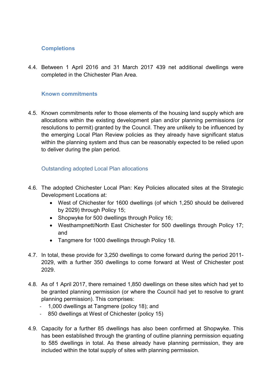### **Completions**

4.4. Between 1 April 2016 and 31 March 2017 439 net additional dwellings were completed in the Chichester Plan Area.

### **Known commitments**

4.5. Known commitments refer to those elements of the housing land supply which are allocations within the existing development plan and/or planning permissions (or resolutions to permit) granted by the Council. They are unlikely to be influenced by the emerging Local Plan Review policies as they already have significant status within the planning system and thus can be reasonably expected to be relied upon to deliver during the plan period.

### Outstanding adopted Local Plan allocations

- 4.6. The adopted Chichester Local Plan: Key Policies allocated sites at the Strategic Development Locations at:
	- West of Chichester for 1600 dwellings (of which 1,250 should be delivered by 2029) through Policy 15;
	- Shopwyke for 500 dwellings through Policy 16;
	- Westhampnett/North East Chichester for 500 dwellings through Policy 17; and
	- Tangmere for 1000 dwellings through Policy 18.
- 4.7. In total, these provide for 3,250 dwellings to come forward during the period 2011- 2029, with a further 350 dwellings to come forward at West of Chichester post 2029.
- 4.8. As of 1 April 2017, there remained 1,850 dwellings on these sites which had yet to be granted planning permission (or where the Council had yet to resolve to grant planning permission). This comprises:
	- 1,000 dwellings at Tangmere (policy 18); and
	- 850 dwellings at West of Chichester (policy 15)
- 4.9. Capacity for a further 85 dwellings has also been confirmed at Shopwyke. This has been established through the granting of outline planning permission equating to 585 dwellings in total. As these already have planning permission, they are included within the total supply of sites with planning permission.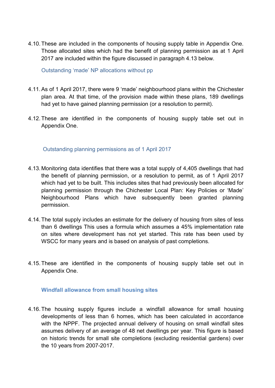4.10.These are included in the components of housing supply table in Appendix One. Those allocated sites which had the benefit of planning permission as at 1 April 2017 are included within the figure discussed in paragraph 4.13 below.

Outstanding 'made' NP allocations without pp

- 4.11.As of 1 April 2017, there were 9 'made' neighbourhood plans within the Chichester plan area. At that time, of the provision made within these plans, 189 dwellings had yet to have gained planning permission (or a resolution to permit).
- 4.12.These are identified in the components of housing supply table set out in Appendix One.

Outstanding planning permissions as of 1 April 2017

- 4.13. Monitoring data identifies that there was a total supply of 4,405 dwellings that had the benefit of planning permission, or a resolution to permit, as of 1 April 2017 which had yet to be built. This includes sites that had previously been allocated for planning permission through the Chichester Local Plan: Key Policies or 'Made' Neighbourhood Plans which have subsequently been granted planning permission.
- 4.14.The total supply includes an estimate for the delivery of housing from sites of less than 6 dwellings This uses a formula which assumes a 45% implementation rate on sites where development has not yet started. This rate has been used by WSCC for many years and is based on analysis of past completions.
- 4.15.These are identified in the components of housing supply table set out in Appendix One.

### **Windfall allowance from small housing sites**

4.16.The housing supply figures include a windfall allowance for small housing developments of less than 6 homes, which has been calculated in accordance with the NPPF. The projected annual delivery of housing on small windfall sites assumes delivery of an average of 48 net dwellings per year. This figure is based on historic trends for small site completions (excluding residential gardens) over the 10 years from 2007-2017.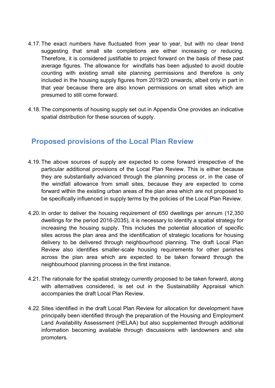- 4.17.The exact numbers have fluctuated from year to year, but with no clear trend suggesting that small site completions are either increasing or reducing. Therefore, it is considered justifiable to project forward on the basis of these past average figures. The allowance for windfalls has been adjusted to avoid double counting with existing small site planning permissions and therefore is only included in the housing supply figures from 2019/20 onwards, albeit only in part in that year because there are also known permissions on small sites which are presumed to still come forward.
- 4.18.The components of housing supply set out in Appendix One provides an indicative spatial distribution for these sources of supply.

### **Proposed provisions of the Local Plan Review**

- 4.19.The above sources of supply are expected to come forward irrespective of the particular additional provisions of the Local Plan Review. This is either because they are substantially advanced through the planning process or, in the case of the windfall allowance from small sites, because they are expected to come forward within the existing urban areas of the plan area which are not proposed to be specifically influenced in supply terms by the policies of the Local Plan Review.
- 4.20. In order to deliver the housing requirement of 650 dwellings per annum (12,350 dwellings for the period 2016-2035), it is necessary to identify a spatial strategy for increasing the housing supply. This includes the potential allocation of specific sites across the plan area and the identification of strategic locations for housing delivery to be delivered through neighbourhood planning. The draft Local Plan Review also identifies smaller-scale housing requirements for other parishes across the plan area which are expected to be taken forward through the neighbourhood planning process in the first instance.
- 4.21.The rationale for the spatial strategy currently proposed to be taken forward, along with alternatives considered, is set out in the Sustainability Appraisal which accompanies the draft Local Plan Review.
- 4.22.Sites identified in the draft Local Plan Review for allocation for development have principally been identified through the preparation of the Housing and Employment Land Availability Assessment (HELAA) but also supplemented through additional information becoming available through discussions with landowners and site promoters.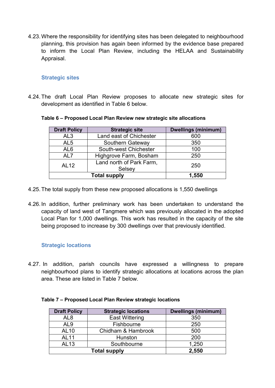4.23.Where the responsibility for identifying sites has been delegated to neighbourhood planning, this provision has again been informed by the evidence base prepared to inform the Local Plan Review, including the HELAA and Sustainability Appraisal.

### **Strategic sites**

4.24.The draft Local Plan Review proposes to allocate new strategic sites for development as identified in Table 6 below.

| <b>Draft Policy</b> | <b>Strategic site</b>              | <b>Dwellings (minimum)</b> |
|---------------------|------------------------------------|----------------------------|
| AL <sub>3</sub>     | Land east of Chichester            | 600                        |
| AL <sub>5</sub>     | Southern Gateway                   | 350                        |
| AL <sub>6</sub>     | South-west Chichester              | 100                        |
| AL7                 | Highgrove Farm, Bosham             | 250                        |
| <b>AL12</b>         | Land north of Park Farm.<br>Selsey | 250                        |
|                     | <b>Total supply</b>                | 1,550                      |

#### **Table 6 – Proposed Local Plan Review new strategic site allocations**

- 4.25.The total supply from these new proposed allocations is 1,550 dwellings
- 4.26. In addition, further preliminary work has been undertaken to understand the capacity of land west of Tangmere which was previously allocated in the adopted Local Plan for 1,000 dwellings. This work has resulted in the capacity of the site being proposed to increase by 300 dwellings over that previously identified.

### **Strategic locations**

4.27. In addition, parish councils have expressed a willingness to prepare neighbourhood plans to identify strategic allocations at locations across the plan area. These are listed in Table 7 below.

| <b>Draft Policy</b> | <b>Strategic locations</b> | <b>Dwellings (minimum)</b> |
|---------------------|----------------------------|----------------------------|
| AL8                 | <b>East Wittering</b>      | 350                        |
| AL9                 | Fishbourne                 | 250                        |
| AL10                | Chidham & Hambrook         | 500                        |
| <b>AL11</b>         | Hunston                    | 200                        |
| <b>AL13</b>         | Southbourne                | 1,250                      |
|                     | 2,550                      |                            |

#### **Table 7 – Proposed Local Plan Review strategic locations**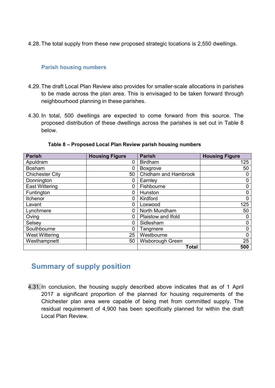4.28.The total supply from these new proposed strategic locations is 2,550 dwellings.

### **Parish housing numbers**

- 4.29.The draft Local Plan Review also provides for smaller-scale allocations in parishes to be made across the plan area. This is envisaged to be taken forward through neighbourhood planning in these parishes.
- 4.30. In total, 500 dwellings are expected to come forward from this source. The proposed distribution of these dwellings across the parishes is set out in Table 8 below.

| <b>Parish</b>          | <b>Housing Figure</b> | <b>Parish</b>               | <b>Housing Figure</b> |
|------------------------|-----------------------|-----------------------------|-----------------------|
| Apuldram               | 0                     | <b>Birdham</b>              | 125                   |
| <b>Bosham</b>          | 0                     | <b>Boxgrove</b>             | 50                    |
| <b>Chichester City</b> | 50                    | <b>Chidham and Hambrook</b> | O                     |
| Donnington             | 0                     | Earnley                     | 0                     |
| <b>East Wittering</b>  | 0                     | Fishbourne                  | 0                     |
| Funtington             | 0                     | Hunston                     | 0                     |
| Itchenor               | 0                     | Kirdford                    | 0                     |
| Lavant                 | 0                     | Loxwood                     | 125                   |
| Lynchmere              | 0                     | North Mundham               | 50                    |
| Oving                  | 0                     | Plaistow and Ifold          | U                     |
| Selsey                 | 0                     | Sidlesham                   | 0                     |
| Southbourne            | 0                     | Tangmere                    | 0                     |
| <b>West Wittering</b>  | 25                    | Westbourne                  | 0                     |
| Westhampnett           | 50                    | Wisborough Green            | 25                    |
|                        |                       | <b>Total</b>                | 500                   |

**Table 8 – Proposed Local Plan Review parish housing numbers**

### **Summary of supply position**

4.31. In conclusion, the housing supply described above indicates that as of 1 April 2017 a significant proportion of the planned for housing requirements of the Chichester plan area were capable of being met from committed supply. The residual requirement of 4,900 has been specifically planned for within the draft Local Plan Review.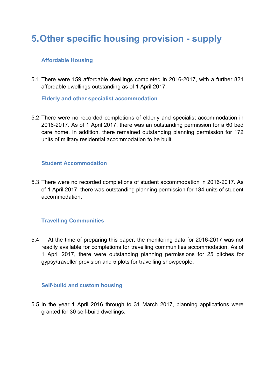# **5.Other specific housing provision - supply**

### **Affordable Housing**

5.1.There were 159 affordable dwellings completed in 2016-2017, with a further 821 affordable dwellings outstanding as of 1 April 2017.

**Elderly and other specialist accommodation** 

5.2.There were no recorded completions of elderly and specialist accommodation in 2016-2017. As of 1 April 2017, there was an outstanding permission for a 60 bed care home. In addition, there remained outstanding planning permission for 172 units of military residential accommodation to be built.

### **Student Accommodation**

5.3.There were no recorded completions of student accommodation in 2016-2017. As of 1 April 2017, there was outstanding planning permission for 134 units of student accommodation.

### **Travelling Communities**

5.4. At the time of preparing this paper, the monitoring data for 2016-2017 was not readily available for completions for travelling communities accommodation. As of 1 April 2017, there were outstanding planning permissions for 25 pitches for gypsy/traveller provision and 5 plots for travelling showpeople.

### **Self-build and custom housing**

5.5.In the year 1 April 2016 through to 31 March 2017, planning applications were granted for 30 self-build dwellings.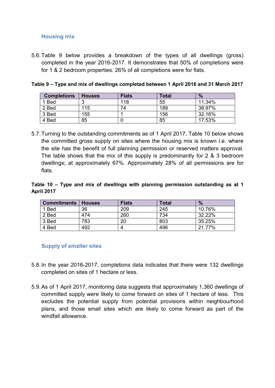### **Housing mix**

5.6.Table 9 below provides a breakdown of the types of all dwellings (gross) completed in the year 2016-2017. It demonstrates that 50% of completions were for 1 & 2 bedroom properties. 26% of all completions were for flats.

| <b>Completions</b> | <b>Houses</b> | <b>Flats</b> | Total | $\%$   |
|--------------------|---------------|--------------|-------|--------|
| 1 Bed              | ◠             | 118          | 55    | 11.34% |
| 2 Bed              | 115           | 74           | 189   | 38.97% |
| 3 Bed              | 155           |              | 156   | 32.16% |
| 4 Bed              | 85            |              | 85    | 17.53% |

**Table 9 – Type and mix of dwellings completed between 1 April 2016 and 31 March 2017**

5.7.Turning to the outstanding commitments as of 1 April 2017, Table 10 below shows the committed gross supply on sites where the housing mix is known i.e. where the site has the benefit of full planning permission or reserved matters approval. The table shows that the mix of this supply is predominantly for 2 & 3 bedroom dwellings; at approximately 67%. Approximately 28% of all permissions are for flats.

### **Table 10 – Type and mix of dwellings with planning permission outstanding as at 1 April 2017**

| <b>Commitments</b> | <b>Houses</b> | <b>Flats</b> | <b>Total</b> | $\frac{0}{2}$ |
|--------------------|---------------|--------------|--------------|---------------|
| 1 Bed              | 36            | 209          | 245          | 10.76%        |
| 2 Bed              | 474           | 260          | 734          | 32.22%        |
| 3 Bed              | 783           | 20           | 803          | 35.25%        |
| 4 Bed              | 492           |              | 496          | 21.77%        |

### **Supply of smaller sites**

- 5.8.In the year 2016-2017, completions data indicates that there were 132 dwellings completed on sites of 1 hectare or less.
- 5.9.As of 1 April 2017, monitoring data suggests that approximately 1,360 dwellings of committed supply were likely to come forward on sites of 1 hectare of less. This excludes the potential supply from potential provisions within neighbourhood plans, and those small sites which are likely to come forward as part of the windfall allowance.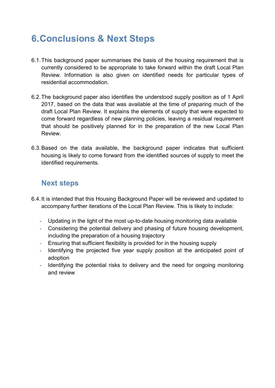# **6.Conclusions & Next Steps**

- 6.1.This background paper summarises the basis of the housing requirement that is currently considered to be appropriate to take forward within the draft Local Plan Review. Information is also given on identified needs for particular types of residential accommodation.
- 6.2.The background paper also identifies the understood supply position as of 1 April 2017, based on the data that was available at the time of preparing much of the draft Local Plan Review. It explains the elements of supply that were expected to come forward regardless of new planning policies, leaving a residual requirement that should be positively planned for in the preparation of the new Local Plan Review.
- 6.3.Based on the data available, the background paper indicates that sufficient housing is likely to come forward from the identified sources of supply to meet the identified requirements.

### **Next steps**

- 6.4.It is intended that this Housing Background Paper will be reviewed and updated to accompany further iterations of the Local Plan Review. This is likely to include:
	- Updating in the light of the most up-to-date housing monitoring data available
	- Considering the potential delivery and phasing of future housing development, including the preparation of a housing trajectory
	- Ensuring that sufficient flexibility is provided for in the housing supply
	- Identifying the projected five year supply position at the anticipated point of adoption
	- Identifying the potential risks to delivery and the need for ongoing monitoring and review